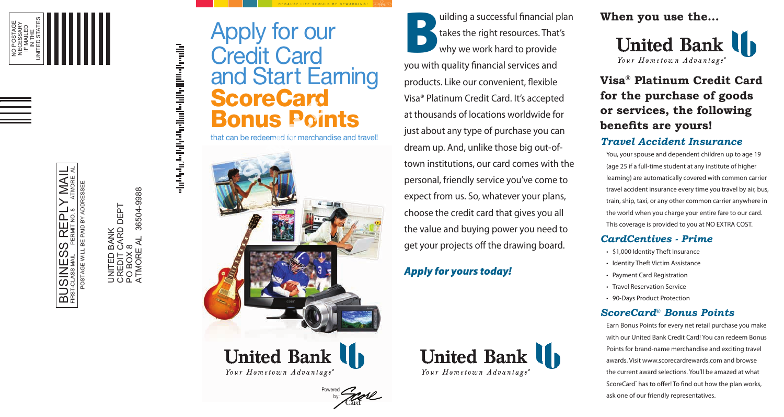-

-

- ----

# Credit Card and Start Earning **ScoreCard** Bonus Points **Bonus Points**<br>that can be redeemed for merchandise and travel!

BECAUSE LIFE SHOULD BE REWARDING!

The Stakes the right resources. That's<br>Why we work hard to provide<br> **United Bank II** Apply for our takes the right resources. That's why we work hard to provide

**Your Find Advantage Scheme Scheme Scheme Scheme Scheme Scheme Scheme Scheme Scheme Scheme Scheme Advantage and the purchase of general financial services and any properties of Building a successful financial services and** you with quality fnancial services and products. Like our convenient, fexible Visa® Platinum Credit Card. It's accepted at thousands of locations worldwide for just about any type of purchase you can dream up. And, unlike those big out-oftown institutions, our card comes with the (age 25 if a full-time student at any institute of higher personal, friendly service you've come to expect from us. So, whatever your plans, choose the credit card that gives you all the value and buying power you need to get your projects off the drawing board.

---------------------- ! ~



*Your Hometown Advantage*<sup>\*</sup>





*Your Hometown Advantage*<sup>\*</sup>

BUSINESS REPLY MAIL FIRST-CLASS MAIL PERMIT NO. 8 ATMORE, AL SS REPLY **PAID BY**  $\underline{\mathsf{L}}$ **BUSINE** 



# **Visa ® Platinum Credit Card for the purchase of goods or services, the following benefits are yours!**

### *Travel Accident Insurance*

You, your spouse and dependent children up to age 19 learning) are automatically covered with common carrier travel accident insurance every time you travel by air, bus, train, ship, taxi, or any other common carrier anywhere in the world when you charge your entire fare to our card. This coverage is provided to you at NO EXTRA COST.

*Apply for yours today!* 

## *CardCentives - Prime*

• \$1,000 Identity Theft Insurance • Identity Theft Victim Assistance • Payment Card Registration • Travel Reservation Service • 90-Days Product Protection

# *ScoreCard® Bonus Points*

Earn Bonus Points for every net retail purchase you make with our United Bank Credit Card! You can redeem Bonus Points for brand-name merchandise and exciting travel awards. Visit <www.scorecardrewards.com> and browse the current award selections. You'll be amazed at what ScoreCard<sup>®</sup> has to offer! To find out how the plan works, ask one of our friendly representatives.

POSTAGE WILL BE PAID BY ADDRESSEE

ATMORE AL 36504-9988 36504-9988 CREDIT CARD DEPT DEPT BANK<br>CARD I<br>8 UNITED BANK UNITED BANA<br>CREDIT CARI<br>PO BOX 8<br>ATMORE AL PO BOX 8

Powered by: